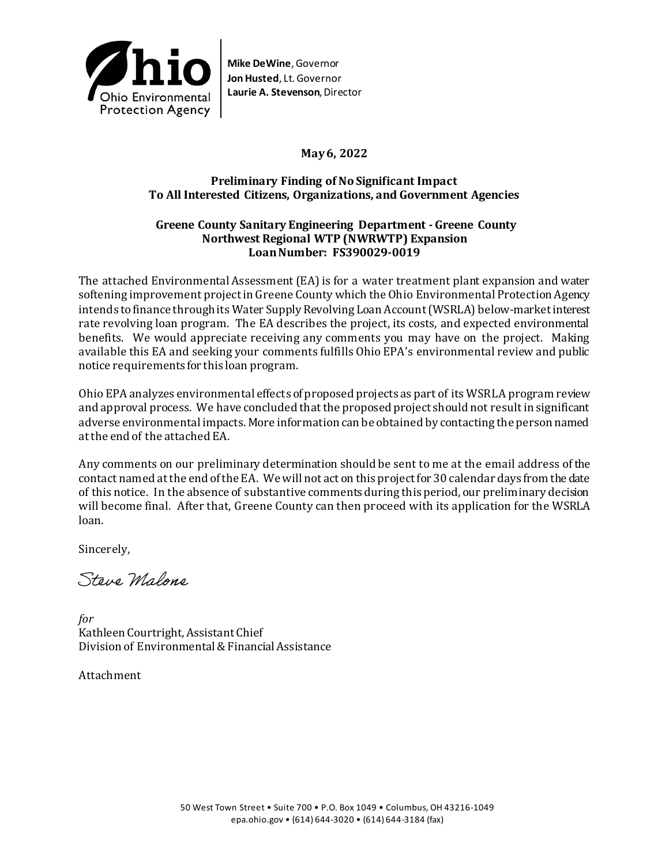

## **May 6, 2022**

### **Preliminary Finding of No Significant Impact To All Interested Citizens, Organizations, and Government Agencies**

#### **Greene County Sanitary Engineering Department - Greene County Northwest Regional WTP (NWRWTP) Expansion Loan Number: FS390029-0019**

The attached Environmental Assessment (EA) is for a water treatment plant expansion and water softening improvement project in Greene County which the Ohio Environmental Protection Agency intends to finance through its Water Supply Revolving Loan Account (WSRLA) below-market interest rate revolving loan program. The EA describes the project, its costs, and expected environmental benefits. We would appreciate receiving any comments you may have on the project. Making available this EA and seeking your comments fulfills Ohio EPA's environmental review and public notice requirements for this loan program.

Ohio EPA analyzes environmental effects of proposed projects as part of its WSRLA program review and approval process. We have concluded that the proposed project should not result in significant adverse environmental impacts. More information can be obtained by contacting the person named atthe end of the attached EA.

Any comments on our preliminary determination should be sent to me at the email address of the contact named at the end of the EA. We will not act on this project for 30 calendar days from the date of this notice. In the absence of substantive comments during this period, our preliminary decision will become final. After that, Greene County can then proceed with its application for the WSRLA loan.

Sincerely,

Steve Malone

*for* Kathleen Courtright, Assistant Chief Division of Environmental & Financial Assistance

Attachment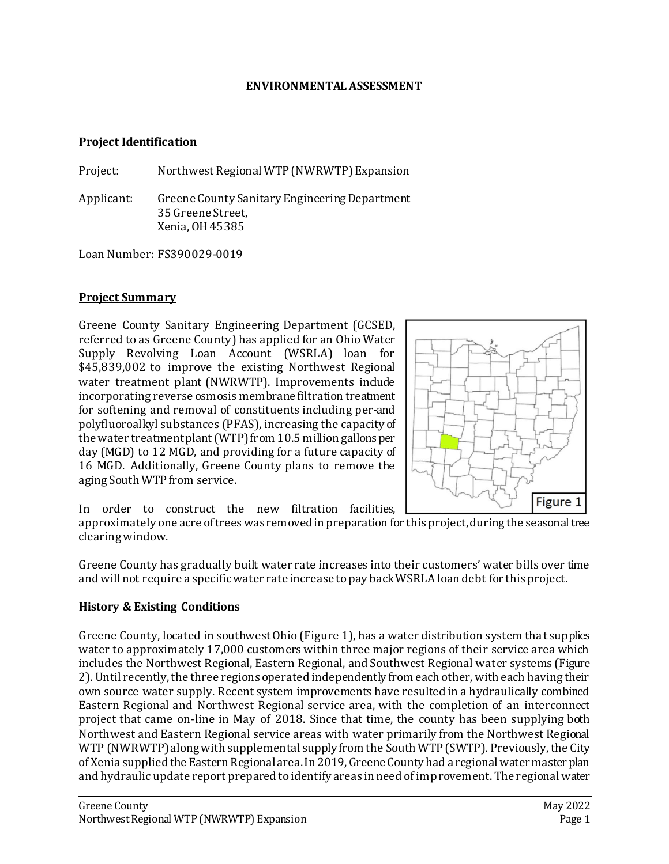#### **ENVIRONMENTAL ASSESSMENT**

#### **Project Identification**

Project: Northwest Regional WTP (NWRWTP) Expansion

Applicant: Greene County Sanitary Engineering Department 35 Greene Street, Xenia, OH 45385

LoanNumber: FS390029-0019

## **Project Summary**

Greene County Sanitary Engineering Department (GCSED, referred to as Greene County) has applied for an Ohio Water Supply Revolving Loan Account (WSRLA) loan for \$45,839,002 to improve the existing Northwest Regional water treatment plant (NWRWTP). Improvements include incorporating reverse osmosis membrane filtration treatment for softening and removal of constituents including per-and polyfluoroalkyl substances (PFAS), increasing the capacity of the water treatment plant (WTP) from 10.5 million gallons per day (MGD) to 12 MGD, and providing for a future capacity of 16 MGD. Additionally, Greene County plans to remove the aging South WTP from service.



In order to construct the new filtration facilities,

approximately one acre of trees was removed in preparation for this project, during the seasonal tree clearing window.

Greene County has gradually built water rate increases into their customers' water bills over time and will not require a specific water rate increase to pay back WSRLA loan debt for this project.

### **History & Existing Conditions**

Greene County, located in southwest Ohio (Figure 1), has a water distribution system that supplies water to approximately 17,000 customers within three major regions of their service area which includes the Northwest Regional, Eastern Regional, and Southwest Regional water systems (Figure 2). Until recently, the three regions operated independently from each other, with each having their own source water supply. Recent system improvements have resulted in a hydraulically combined Eastern Regional and Northwest Regional service area, with the completion of an interconnect project that came on-line in May of 2018. Since that time, the county has been supplying both Northwest and Eastern Regional service areas with water primarily from the Northwest Regional WTP (NWRWTP) along with supplemental supply from the South WTP (SWTP). Previously, the City of Xenia supplied the Eastern Regional area.In 2019, Greene County had a regional water master plan and hydraulic update report prepared to identify areas in need of improvement. The regional water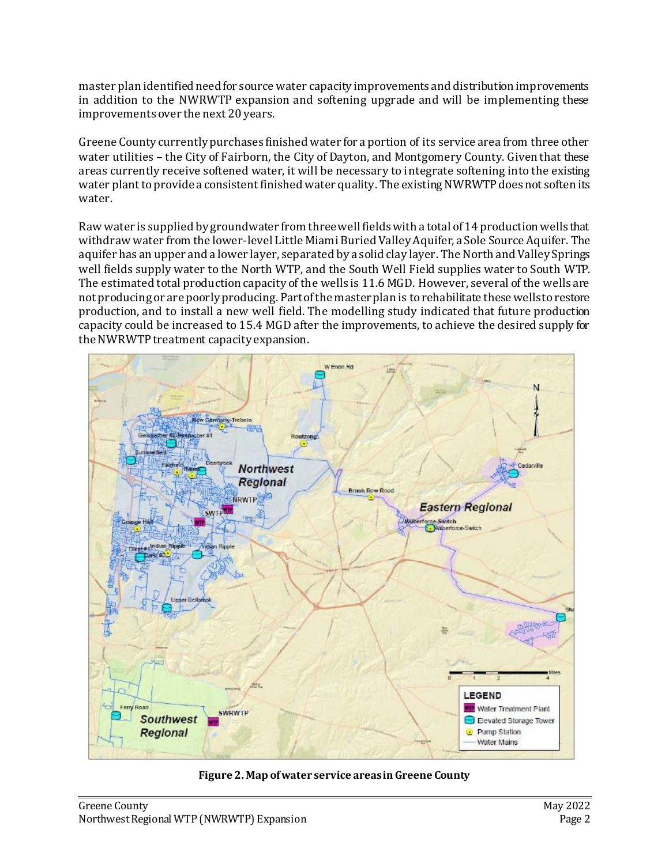master plan identified need for source water capacity improvements and distribution improvements in addition to the NWRWTP expansion and softening upgrade and will be implementing these improvements over the next 20 years.

Greene County currently purchases finished water for a portion of its service area from three other water utilities – the City of Fairborn, the City of Dayton, and Montgomery County. Given that these areas currently receive softened water, it will be necessary to integrate softening into the existing water plant to provide a consistent finished water quality. The existing NWRWTP does not soften its water.

Raw water is supplied by groundwater from three well fields with a total of 14 production wells that withdraw water from the lower-level Little Miami Buried Valley Aquifer, a Sole Source Aquifer. The aquifer has an upper and a lower layer, separated by a solid clay layer. The North and Valley Springs well fields supply water to the North WTP, and the South Well Field supplies water to South WTP. The estimated total production capacity of the wells is 11.6 MGD. However, several of the wells are not producing or are poorly producing. Part of the master plan is to rehabilitate these wells to restore production, and to install a new well field. The modelling study indicated that future production capacity could be increased to 15.4 MGD after the improvements, to achieve the desired supply for the NWRWTP treatment capacity expansion.



**Figure 2. Map of water service areas in Greene County**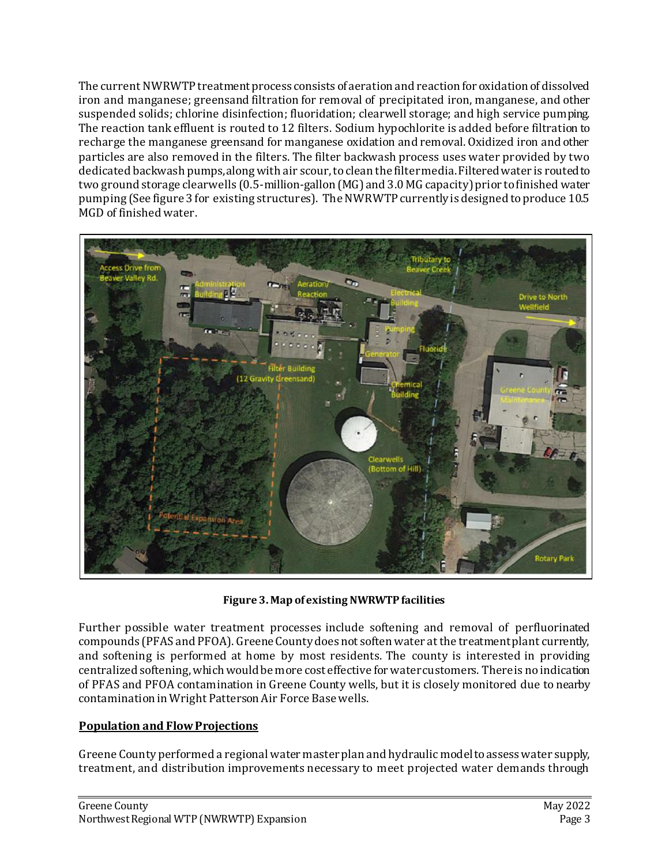The current NWRWTP treatment process consists of aeration and reaction for oxidation of dissolved iron and manganese; greensand filtration for removal of precipitated iron, manganese, and other suspended solids; chlorine disinfection; fluoridation; clearwell storage; and high service pumping. The reaction tank effluent is routed to 12 filters. Sodium hypochlorite is added before filtration to recharge the manganese greensand for manganese oxidation and removal. Oxidized iron and other particles are also removed in the filters. The filter backwash process uses water provided by two dedicated backwash pumps, along with air scour, to clean the filter media. Filtered water is routed to two ground storage clearwells (0.5-million-gallon (MG) and 3.0 MG capacity) prior to finished water pumping (See figure 3 for existing structures). The NWRWTP currently is designed to produce 10.5 MGD of finished water.



**Figure 3. Map of existing NWRWTP facilities**

Further possible water treatment processes include softening and removal of perfluorinated compounds (PFAS and PFOA). Greene County does not soften water at the treatment plant currently, and softening is performed at home by most residents. The county is interested in providing centralized softening, which would be more cost effective for water customers. There is no indication of PFAS and PFOA contamination in Greene County wells, but it is closely monitored due to nearby contamination in Wright Patterson Air Force Base wells.

# **Population and Flow Projections**

Greene County performed a regional water masterplan and hydraulic model to assess water supply, treatment, and distribution improvements necessary to meet projected water demands through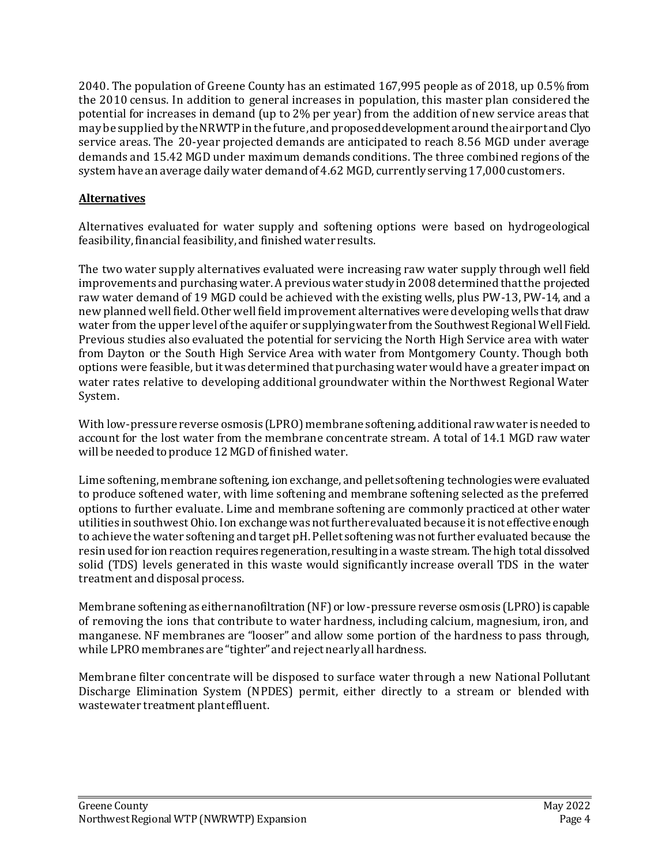2040. The population of Greene County has an estimated 167,995 people as of 2018, up 0.5% from the 2010 census. In addition to general increases in population, this master plan considered the potential for increases in demand (up to 2% per year) from the addition of new service areas that may be supplied by the NRWTP in the future,and proposed development around the airport and Clyo service areas. The 20-year projected demands are anticipated to reach 8.56 MGD under average demands and 15.42 MGD under maximum demands conditions. The three combined regions of the system have an average daily water demand of 4.62 MGD, currently serving 17,000 customers.

# **Alternatives**

Alternatives evaluated for water supply and softening options were based on hydrogeological feasibility, financial feasibility, and finished water results.

The two water supply alternatives evaluated were increasing raw water supply through well field improvements and purchasing water. A previous water study in 2008 determined that the projected raw water demand of 19 MGD could be achieved with the existing wells, plus PW-13, PW-14, and a new planned well field. Other well field improvement alternatives were developing wells that draw water from the upper level of the aquifer or supplying water from the Southwest Regional Well Field. Previous studies also evaluated the potential for servicing the North High Service area with water from Dayton or the South High Service Area with water from Montgomery County. Though both options were feasible, but it was determined that purchasing water would have a greater impact on water rates relative to developing additional groundwater within the Northwest Regional Water System.

With low-pressure reverse osmosis (LPRO) membrane softening, additional raw water is needed to account for the lost water from the membrane concentrate stream. A total of 14.1 MGD raw water will be needed to produce 12 MGD of finished water.

Lime softening, membrane softening, ion exchange, and pellet softening technologies were evaluated to produce softened water, with lime softening and membrane softening selected as the preferred options to further evaluate. Lime and membrane softening are commonly practiced at other water utilities in southwest Ohio. Ion exchange was not further evaluated because it is not effective enough to achieve the water softening and target pH. Pellet softening was not further evaluated because the resin used for ion reaction requires regeneration, resulting in a waste stream. The high total dissolved solid (TDS) levels generated in this waste would significantly increase overall TDS in the water treatment and disposal process.

Membrane softening as either nanofiltration (NF) or low-pressure reverse osmosis (LPRO) is capable of removing the ions that contribute to water hardness, including calcium, magnesium, iron, and manganese. NF membranes are "looser" and allow some portion of the hardness to pass through, while LPRO membranes are "tighter" and reject nearly all hardness.

Membrane filter concentrate will be disposed to surface water through a new National Pollutant Discharge Elimination System (NPDES) permit, either directly to a stream or blended with wastewater treatment plant effluent.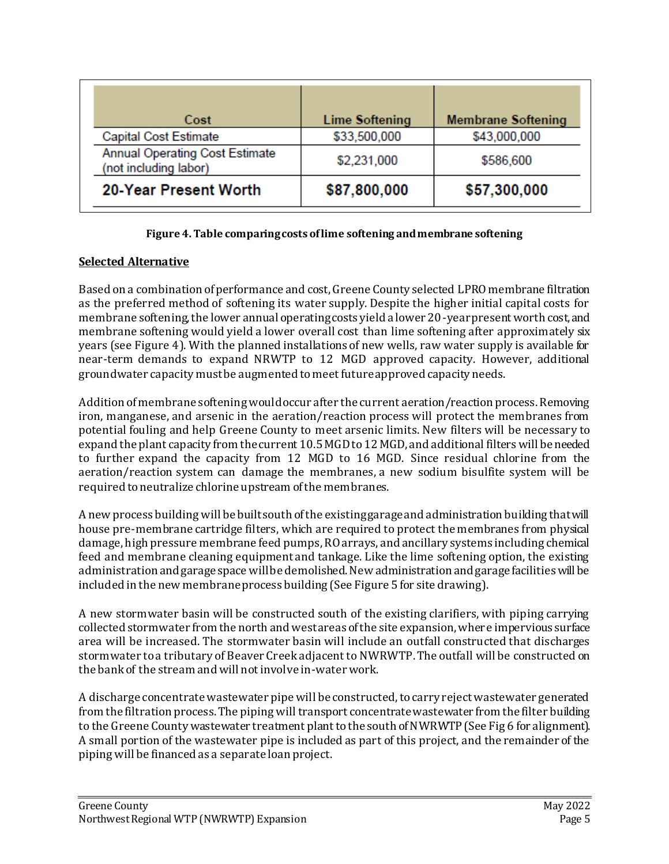| Cost                                                           | <b>Lime Softening</b> | <b>Membrane Softening</b> |
|----------------------------------------------------------------|-----------------------|---------------------------|
| <b>Capital Cost Estimate</b>                                   | \$33,500,000          | \$43,000,000              |
| <b>Annual Operating Cost Estimate</b><br>(not including labor) | \$2,231,000           | \$586,600                 |
| 20-Year Present Worth                                          | \$87,800,000          | \$57,300,000              |

#### **Figure 4. Table comparing costs of lime softening and membrane softening**

## **Selected Alternative**

Based on a combination of performance and cost, Greene County selected LPROmembrane filtration as the preferred method of softening its water supply. Despite the higher initial capital costs for membrane softening, the lower annual operating costs yield a lower 20-year present worth cost, and membrane softening would yield a lower overall cost than lime softening after approximately six years (see Figure 4). With the planned installations of new wells, raw water supply is available for near-term demands to expand NRWTP to 12 MGD approved capacity. However, additional groundwater capacity must be augmented to meet future approved capacity needs.

Addition of membrane softening would occur after the current aeration/reaction process. Removing iron, manganese, and arsenic in the aeration/reaction process will protect the membranes from potential fouling and help Greene County to meet arsenic limits. New filters will be necessary to expand the plant capacity from the current 10.5 MGD to 12 MGD, and additional filters will be needed to further expand the capacity from 12 MGD to 16 MGD. Since residual chlorine from the aeration/reaction system can damage the membranes, a new sodium bisulfite system will be required to neutralize chlorine upstream of the membranes.

A new process building will be built south of the existing garage and administration building that will house pre-membrane cartridge filters, which are required to protect the membranes from physical damage, high pressure membrane feed pumps, RO arrays, and ancillary systems including chemical feed and membrane cleaning equipment and tankage. Like the lime softening option, the existing administration and garage space will be demolished. New administration and garage facilities will be included in the new membrane process building (See Figure 5 for site drawing).

A new stormwater basin will be constructed south of the existing clarifiers, with piping carrying collected stormwater from the north and west areas of the site expansion, where impervious surface area will be increased. The stormwater basin will include an outfall constructed that discharges stormwater to a tributary of Beaver Creek adjacent to NWRWTP. The outfall will be constructed on the bank of the stream and will not involve in-water work.

A discharge concentrate wastewater pipe will be constructed, to carry reject wastewater generated from the filtration process. The piping will transport concentrate wastewater from the filter building to the Greene County wastewater treatment plant to the south of NWRWTP (See Fig 6 for alignment). A small portion of the wastewater pipe is included as part of this project, and the remainder of the piping will be financed as a separate loan project.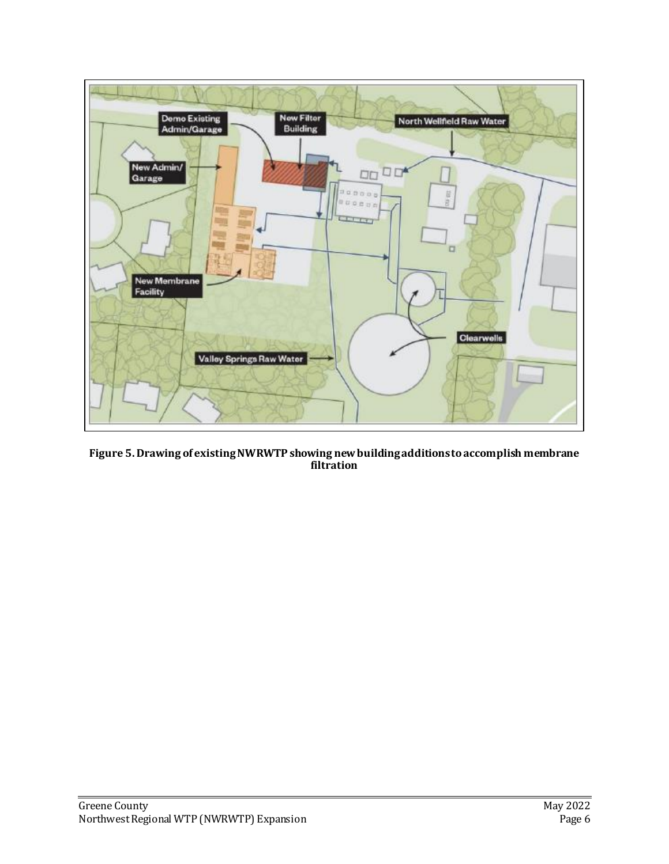

**Figure 5. Drawing of existing NWRWTP showing new building additions to accomplish membrane filtration**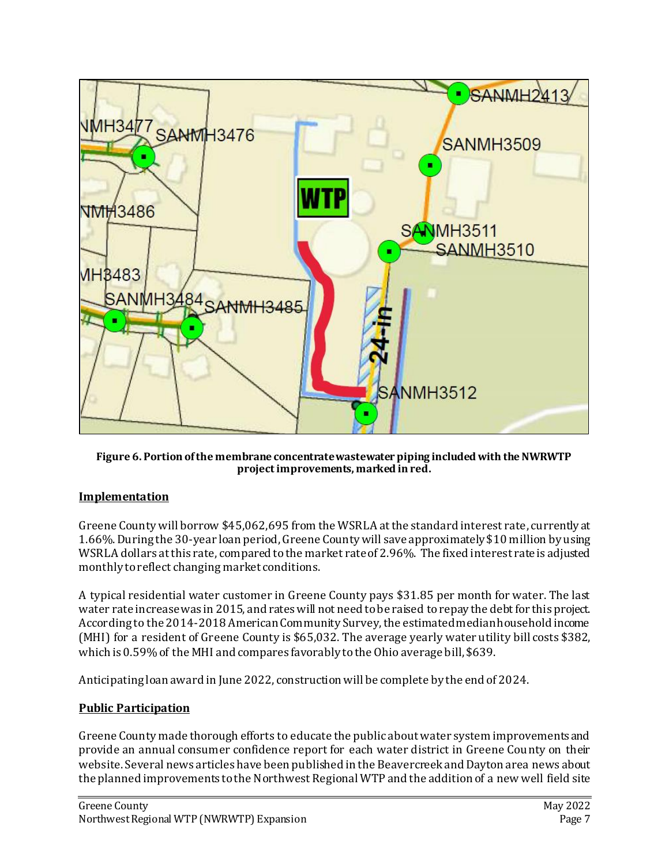

**Figure 6. Portion of the membrane concentrate wastewater piping included with the NWRWTP project improvements, marked in red.**

# **Implementation**

Greene County will borrow \$45,062,695 from the WSRLA at the standard interest rate, currently at 1.66%. During the 30-year loan period, Greene County will save approximately \$10 million by using WSRLA dollars at this rate, compared to the market rate of 2.96%. The fixed interest rate is adjusted monthly to reflect changing market conditions.

A typical residential water customer in Greene County pays \$31.85 per month for water. The last water rate increase was in 2015, and rates will not need to be raised to repay the debt for this project. According to the 2014-2018 American Community Survey, the estimated median household income (MHI) for a resident of Greene County is \$65,032. The average yearly water utility bill costs \$382, which is 0.59% of the MHI and compares favorably to the Ohio average bill, \$639.

Anticipating loan award in June 2022, construction will be complete by the end of 2024.

# **Public Participation**

Greene County made thorough efforts to educate the public about water system improvements and provide an annual consumer confidence report for each water district in Greene County on their website. Several news articles have been published in the Beavercreek and Dayton area news about the planned improvements to the Northwest Regional WTP and the addition of a new well field site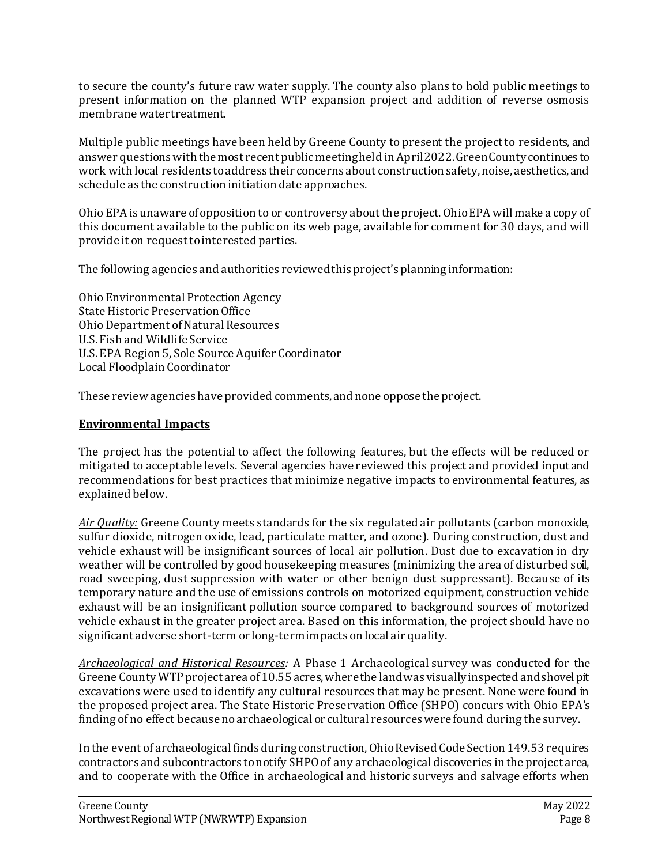to secure the county's future raw water supply. The county also plans to hold public meetings to present information on the planned WTP expansion project and addition of reverse osmosis membrane water treatment.

Multiple public meetings have been held by Greene County to present the project to residents, and answer questions with the most recent public meeting held in April 2022. Green County continues to work with local residents to address their concerns about construction safety, noise, aesthetics, and schedule as the construction initiation date approaches.

Ohio EPA is unaware of opposition to or controversy about the project. Ohio EPA will make a copy of this document available to the public on its web page, available for comment for 30 days, and will provide it on request to interested parties.

The following agencies and authorities reviewed this project's planning information:

Ohio Environmental Protection Agency State Historic Preservation Office Ohio Department of Natural Resources U.S. Fish and Wildlife Service U.S. EPA Region 5, Sole Source Aquifer Coordinator Local Floodplain Coordinator

These review agencies have provided comments,and none oppose the project.

## **Environmental Impacts**

The project has the potential to affect the following features, but the effects will be reduced or mitigated to acceptable levels. Several agencies have reviewed this project and provided input and recommendations for best practices that minimize negative impacts to environmental features, as explained below.

*Air Quality:* Greene County meets standards for the six regulated air pollutants (carbon monoxide, sulfur dioxide, nitrogen oxide, lead, particulate matter, and ozone). During construction, dust and vehicle exhaust will be insignificant sources of local air pollution. Dust due to excavation in dry weather will be controlled by good housekeeping measures (minimizing the area of disturbed soil, road sweeping, dust suppression with water or other benign dust suppressant). Because of its temporary nature and the use of emissions controls on motorized equipment, construction vehicle exhaust will be an insignificant pollution source compared to background sources of motorized vehicle exhaust in the greater project area. Based on this information, the project should have no significant adverse short-term or long-term impacts on local air quality.

*Archaeological and Historical Resources:* A Phase 1 Archaeological survey was conducted for the Greene County WTP project area of 10.55 acres, where the land was visually inspected and shovel pit excavations were used to identify any cultural resources that may be present. None were found in the proposed project area. The State Historic Preservation Office (SHPO) concurs with Ohio EPA's finding of no effect because no archaeological or cultural resources were found during the survey.

In the event of archaeological finds during construction, Ohio Revised Code Section 149.53 requires contractors and subcontractors to notify SHPO of any archaeological discoveries in the project area, and to cooperate with the Office in archaeological and historic surveys and salvage efforts when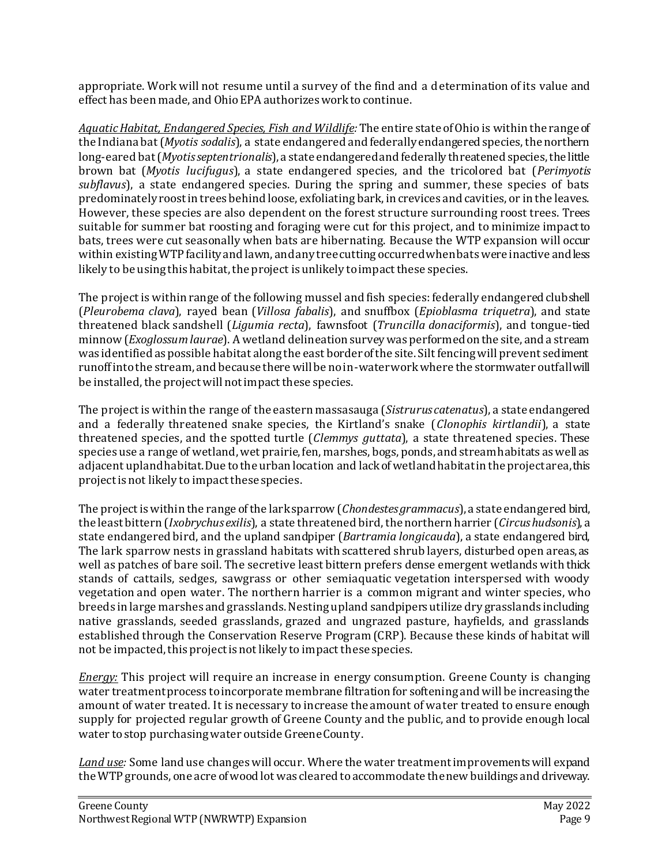appropriate. Work will not resume until a survey of the find and a determination of its value and effect has been made, and Ohio EPA authorizes work to continue.

*Aquatic Habitat, Endangered Species, Fish and Wildlife:* The entire state of Ohio is within the range of the Indiana bat (*Myotis sodalis*), a state endangered and federally endangered species, the northern long-eared bat (*Myotis septentrionalis*), a state endangered and federally threatened species, the little brown bat (*Myotis lucifugus*), a state endangered species, and the tricolored bat (*Perimyotis subflavus*), a state endangered species. During the spring and summer, these species of bats predominately roost in trees behind loose, exfoliating bark, in crevices and cavities, or in the leaves. However, these species are also dependent on the forest structure surrounding roost trees. Trees suitable for summer bat roosting and foraging were cut for this project, and to minimize impact to bats, trees were cut seasonally when bats are hibernating. Because the WTP expansion will occur within existing WTP facility and lawn, and any tree cutting occurredwhen bats were inactive and less likely to be using this habitat, the project is unlikely to impact these species.

The project is within range of the following mussel and fish species: federally endangered clubshell (*Pleurobema clava*), rayed bean (*Villosa fabalis*), and snuffbox (*Epioblasma triquetra*), and state threatened black sandshell (*Ligumia recta*), fawnsfoot (*Truncilla donaciformis*), and tongue-tied minnow (*Exoglossum laurae*). A wetland delineation survey was performed on the site, and a stream was identified as possible habitat along the east border of the site. Silt fencing will prevent sediment runoff into the stream, and because there will be no in-water workwhere the stormwater outfall will be installed, the project will not impact these species.

The project is within the range of the eastern massasauga (*Sistrurus catenatus*), a state endangered and a federally threatened snake species, the Kirtland's snake (*Clonophis kirtlandii*), a state threatened species, and the spotted turtle (*Clemmys guttata*), a state threatened species. These species use a range of wetland, wet prairie, fen, marshes, bogs, ponds, and stream habitats as well as adjacent upland habitat. Due to the urban location and lack ofwetlandhabitatin the project area, this project is not likely to impact these species.

The project is within the range of the lark sparrow (*Chondestes grammacus*), a state endangered bird, the least bittern (*Ixobrychus exilis*), a state threatened bird, the northern harrier (*Circus hudsonis*), a state endangered bird, and the upland sandpiper (*Bartramia longicauda*), a state endangered bird, The lark sparrow nests in grassland habitats with scattered shrub layers, disturbed open areas, as well as patches of bare soil. The secretive least bittern prefers dense emergent wetlands with thick stands of cattails, sedges, sawgrass or other semiaquatic vegetation interspersed with woody vegetation and open water. The northern harrier is a common migrant and winter species, who breeds in large marshes and grasslands. Nesting upland sandpipers utilize dry grasslands including native grasslands, seeded grasslands, grazed and ungrazed pasture, hayfields, and grasslands established through the Conservation Reserve Program (CRP). Because these kinds of habitat will not be impacted, this project is not likely to impact these species.

*Energy:* This project will require an increase in energy consumption. Greene County is changing water treatment process to incorporate membrane filtration for softening and will be increasing the amount of water treated. It is necessary to increase the amount of water treated to ensure enough supply for projected regular growth of Greene County and the public, and to provide enough local water to stop purchasing water outside Greene County.

*Land use:* Some land use changes will occur. Where the water treatment improvements will expand the WTP grounds, one acre of wood lot was cleared to accommodate the new buildings and driveway.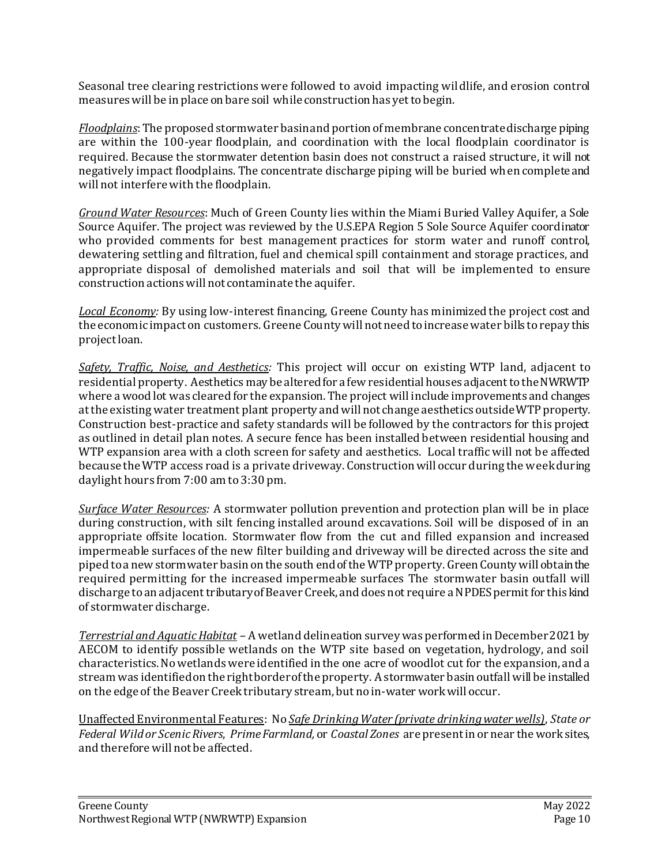Seasonal tree clearing restrictions were followed to avoid impacting wildlife, and erosion control measures will be in place on bare soil while construction has yet to begin.

*Floodplains*: The proposed stormwater basin and portion of membrane concentrate discharge piping are within the 100-year floodplain, and coordination with the local floodplain coordinator is required. Because the stormwater detention basin does not construct a raised structure, it will not negatively impact floodplains. The concentrate discharge piping will be buried when complete and will not interfere with the floodplain.

*Ground Water Resources*: Much of Green County lies within the Miami Buried Valley Aquifer, a Sole Source Aquifer. The project was reviewed by the U.S.EPA Region 5 Sole Source Aquifer coordinator who provided comments for best management practices for storm water and runoff control, dewatering settling and filtration, fuel and chemical spill containment and storage practices, and appropriate disposal of demolished materials and soil that will be implemented to ensure construction actions will not contaminate the aquifer.

*Local Economy:* By using low-interest financing, Greene County has minimized the project cost and the economic impact on customers. Greene County will not need to increase water bills to repay this project loan.

*Safety, Traffic, Noise, and Aesthetics:* This project will occur on existing WTP land, adjacent to residential property. Aesthetics may be altered for a few residential houses adjacent to the NWRWTP where a wood lot was cleared for the expansion. The project will include improvements and changes at the existing water treatment plant property and will not change aesthetics outside WTP property. Construction best-practice and safety standards will be followed by the contractors for this project as outlined in detail plan notes. A secure fence has been installed between residential housing and WTP expansion area with a cloth screen for safety and aesthetics. Local traffic will not be affected because the WTP access road is a private driveway. Construction will occur during the week during daylight hours from 7:00 am to 3:30 pm.

*Surface Water Resources:* A stormwater pollution prevention and protection plan will be in place during construction, with silt fencing installed around excavations. Soil will be disposed of in an appropriate offsite location. Stormwater flow from the cut and filled expansion and increased impermeable surfaces of the new filter building and driveway will be directed across the site and piped to a new stormwater basin on the south end of the WTP property. Green County will obtain the required permitting for the increased impermeable surfaces The stormwater basin outfall will discharge to an adjacent tributary of Beaver Creek, and does not require a NPDES permit for this kind of stormwater discharge.

*Terrestrial and Aquatic Habitat –* A wetland delineation survey was performed in December 2021 by AECOM to identify possible wetlands on the WTP site based on vegetation, hydrology, and soil characteristics. No wetlands were identified in the one acre of woodlot cut for the expansion, and a stream was identified on the right border of the property. A stormwater basin outfall will be installed on the edge of the Beaver Creek tributary stream, but no in-water work will occur.

Unaffected Environmental Features: No *Safe Drinking Water (private drinking water wells)*, *State or Federal Wild or Scenic Rivers*, *Prime Farmland,* or *Coastal Zones* are present in or near the work sites, and therefore will not be affected.